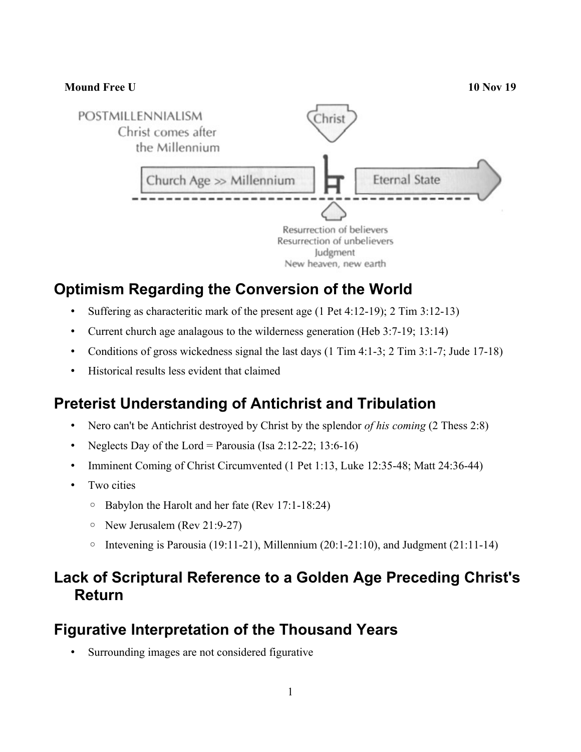

# **Optimism Regarding the Conversion of the World**

- Suffering as characteritic mark of the present age (1 Pet 4:12-19); 2 Tim 3:12-13)
- Current church age analagous to the wilderness generation (Heb 3:7-19; 13:14)
- Conditions of gross wickedness signal the last days (1 Tim 4:1-3; 2 Tim 3:1-7; Jude 17-18)
- Historical results less evident that claimed

## **Preterist Understanding of Antichrist and Tribulation**

- Nero can't be Antichrist destroyed by Christ by the splendor *of his coming* (2 Thess 2:8)
- Neglects Day of the Lord = Parousia (Isa 2:12-22; 13:6-16)
- Imminent Coming of Christ Circumvented (1 Pet 1:13, Luke 12:35-48; Matt 24:36-44)
- Two cities
	- Babylon the Harolt and her fate (Rev 17:1-18:24)
	- New Jerusalem (Rev 21:9-27)
	- Intevening is Parousia (19:11-21), Millennium (20:1-21:10), and Judgment (21:11-14)

### **Lack of Scriptural Reference to a Golden Age Preceding Christ's Return**

#### **Figurative Interpretation of the Thousand Years**

• Surrounding images are not considered figurative